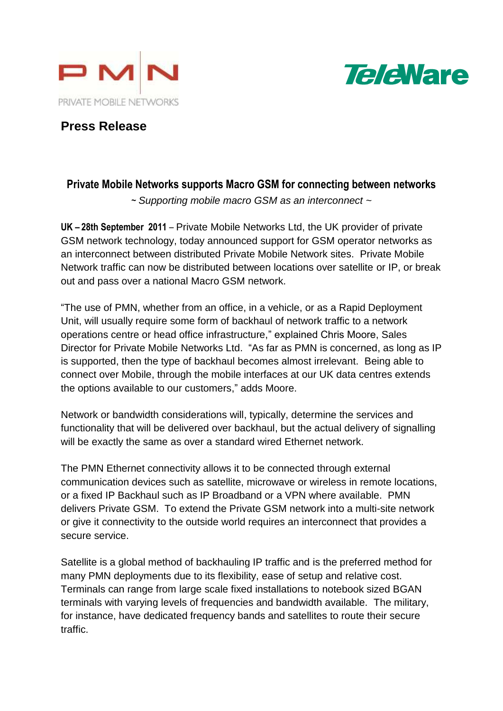



# **Press Release**

## **Private Mobile Networks supports Macro GSM for connecting between networks**

*~ Supporting mobile macro GSM as an interconnect ~*

**UK – 28th September 2011** – Private Mobile Networks Ltd, the UK provider of private GSM network technology, today announced support for GSM operator networks as an interconnect between distributed Private Mobile Network sites. Private Mobile Network traffic can now be distributed between locations over satellite or IP, or break out and pass over a national Macro GSM network.

"The use of PMN, whether from an office, in a vehicle, or as a Rapid Deployment Unit, will usually require some form of backhaul of network traffic to a network operations centre or head office infrastructure," explained Chris Moore, Sales Director for Private Mobile Networks Ltd. "As far as PMN is concerned, as long as IP is supported, then the type of backhaul becomes almost irrelevant. Being able to connect over Mobile, through the mobile interfaces at our UK data centres extends the options available to our customers," adds Moore.

Network or bandwidth considerations will, typically, determine the services and functionality that will be delivered over backhaul, but the actual delivery of signalling will be exactly the same as over a standard wired Ethernet network.

The PMN Ethernet connectivity allows it to be connected through external communication devices such as satellite, microwave or wireless in remote locations, or a fixed IP Backhaul such as IP Broadband or a VPN where available. PMN delivers Private GSM. To extend the Private GSM network into a multi-site network or give it connectivity to the outside world requires an interconnect that provides a secure service.

Satellite is a global method of backhauling IP traffic and is the preferred method for many PMN deployments due to its flexibility, ease of setup and relative cost. Terminals can range from large scale fixed installations to notebook sized BGAN terminals with varying levels of frequencies and bandwidth available. The military, for instance, have dedicated frequency bands and satellites to route their secure traffic.